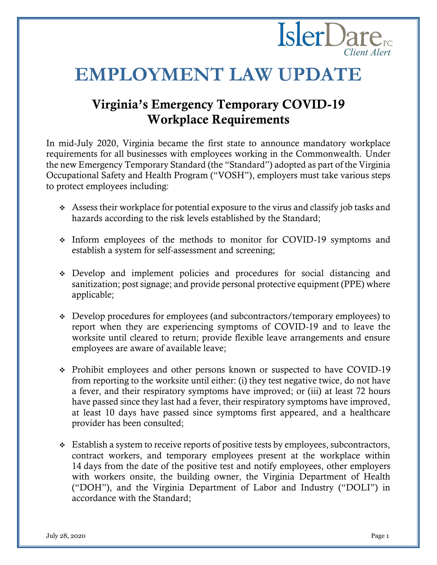# **Isler**Dare<sub>rc</sub> *Client Alert*

# **EMPLOYMENT LAW UPDATE**

# Virginia's Emergency Temporary COVID-19 Workplace Requirements

In mid-July 2020, Virginia became the first state to announce mandatory workplace requirements for all businesses with employees working in the Commonwealth. Under the new Emergency Temporary Standard (the "Standard") adopted as part of the Virginia Occupational Safety and Health Program ("VOSH"), employers must take various steps to protect employees including:

- ❖ Assess their workplace for potential exposure to the virus and classify job tasks and hazards according to the risk levels established by the Standard;
- ❖ Inform employees of the methods to monitor for COVID-19 symptoms and establish a system for self-assessment and screening;
- ❖ Develop and implement policies and procedures for social distancing and sanitization; post signage; and provide personal protective equipment (PPE) where applicable;
- ❖ Develop procedures for employees (and subcontractors/temporary employees) to report when they are experiencing symptoms of COVID-19 and to leave the worksite until cleared to return; provide flexible leave arrangements and ensure employees are aware of available leave;
- ❖ Prohibit employees and other persons known or suspected to have COVID-19 from reporting to the worksite until either: (i) they test negative twice, do not have a fever, and their respiratory symptoms have improved; or (iii) at least 72 hours have passed since they last had a fever, their respiratory symptoms have improved, at least 10 days have passed since symptoms first appeared, and a healthcare provider has been consulted;
- ❖ Establish a system to receive reports of positive tests by employees, subcontractors, contract workers, and temporary employees present at the workplace within 14 days from the date of the positive test and notify employees, other employers with workers onsite, the building owner, the Virginia Department of Health ("DOH"), and the Virginia Department of Labor and Industry ("DOLI") in accordance with the Standard;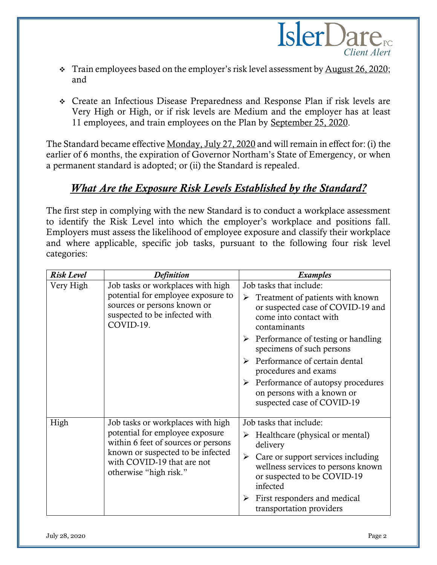

- ❖ Train employees based on the employer's risk level assessment by August 26, 2020; and
- ❖ Create an Infectious Disease Preparedness and Response Plan if risk levels are Very High or High, or if risk levels are Medium and the employer has at least 11 employees, and train employees on the Plan by September 25, 2020.

The Standard became effective Monday, July 27, 2020 and will remain in effect for: (i) the earlier of 6 months, the expiration of Governor Northam's State of Emergency, or when a permanent standard is adopted; or (ii) the Standard is repealed.

## *What Are the Exposure Risk Levels Established by the Standard?*

The first step in complying with the new Standard is to conduct a workplace assessment to identify the Risk Level into which the employer's workplace and positions fall. Employers must assess the likelihood of employee exposure and classify their workplace and where applicable, specific job tasks, pursuant to the following four risk level categories:

| <b>Risk Level</b> | <b>Definition</b>                                                                                                                                                                                        | <b>Examples</b>                                                                                                                                                                                                                                                                                                                                                                                                                 |
|-------------------|----------------------------------------------------------------------------------------------------------------------------------------------------------------------------------------------------------|---------------------------------------------------------------------------------------------------------------------------------------------------------------------------------------------------------------------------------------------------------------------------------------------------------------------------------------------------------------------------------------------------------------------------------|
| Very High         | Job tasks or workplaces with high<br>potential for employee exposure to<br>sources or persons known or<br>suspected to be infected with<br>COVID-19.                                                     | Job tasks that include:<br>Treatment of patients with known<br>➤<br>or suspected case of COVID-19 and<br>come into contact with<br>contaminants<br>$\triangleright$ Performance of testing or handling<br>specimens of such persons<br>$\triangleright$ Performance of certain dental<br>procedures and exams<br>$\triangleright$ Performance of autopsy procedures<br>on persons with a known or<br>suspected case of COVID-19 |
| High              | Job tasks or workplaces with high<br>potential for employee exposure<br>within 6 feet of sources or persons<br>known or suspected to be infected<br>with COVID-19 that are not<br>otherwise "high risk." | Job tasks that include:<br>Healthcare (physical or mental)<br>$\blacktriangleright$<br>delivery<br>Care or support services including<br>$\blacktriangleright$<br>wellness services to persons known<br>or suspected to be COVID-19<br>infected<br>First responders and medical<br>➤<br>transportation providers                                                                                                                |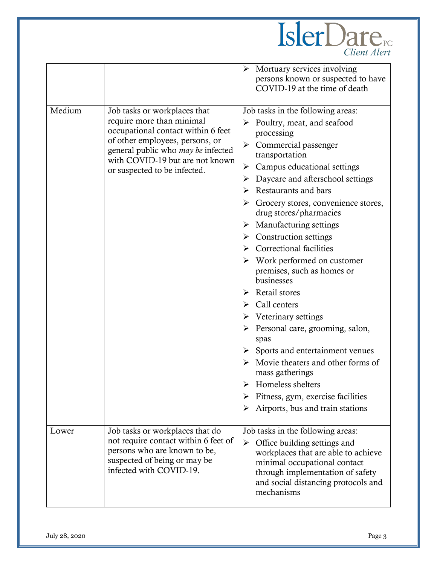

|        |                                                                                                                                                                                                                                             | Mortuary services involving<br>persons known or suspected to have<br>COVID-19 at the time of death                                                                                                                                                                                                                                                                                                                                                                                                                                                                                                                                                                                                                                                                                                                                                                     |
|--------|---------------------------------------------------------------------------------------------------------------------------------------------------------------------------------------------------------------------------------------------|------------------------------------------------------------------------------------------------------------------------------------------------------------------------------------------------------------------------------------------------------------------------------------------------------------------------------------------------------------------------------------------------------------------------------------------------------------------------------------------------------------------------------------------------------------------------------------------------------------------------------------------------------------------------------------------------------------------------------------------------------------------------------------------------------------------------------------------------------------------------|
| Medium | Job tasks or workplaces that<br>require more than minimal<br>occupational contact within 6 feet<br>of other employees, persons, or<br>general public who may be infected<br>with COVID-19 but are not known<br>or suspected to be infected. | Job tasks in the following areas:<br>$\triangleright$ Poultry, meat, and seafood<br>processing<br>$\triangleright$ Commercial passenger<br>transportation<br>Campus educational settings<br>➤<br>Daycare and afterschool settings<br>➤<br>Restaurants and bars<br>⋗<br>$\triangleright$ Grocery stores, convenience stores,<br>drug stores/pharmacies<br>Manufacturing settings<br>➤<br><b>Construction settings</b><br>➤<br><b>Correctional facilities</b><br>Work performed on customer<br>premises, such as homes or<br>businesses<br>Retail stores<br>➤<br>Call centers<br>Veterinary settings<br>$\triangleright$ Personal care, grooming, salon,<br>spas<br>Sports and entertainment venues<br>➤<br>Movie theaters and other forms of<br>➤<br>mass gatherings<br>Homeless shelters<br>Fitness, gym, exercise facilities<br>Airports, bus and train stations<br>➤ |
| Lower  | Job tasks or workplaces that do<br>not require contact within 6 feet of<br>persons who are known to be,<br>suspected of being or may be<br>infected with COVID-19.                                                                          | Job tasks in the following areas:<br>Office building settings and<br>➤<br>workplaces that are able to achieve<br>minimal occupational contact<br>through implementation of safety<br>and social distancing protocols and<br>mechanisms                                                                                                                                                                                                                                                                                                                                                                                                                                                                                                                                                                                                                                 |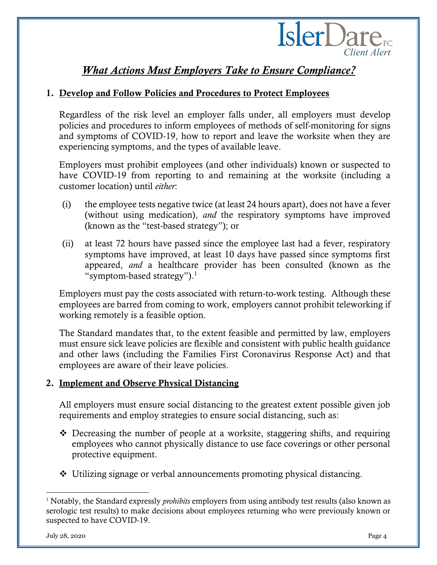

# *What Actions Must Employers Take to Ensure Compliance?*

#### 1. Develop and Follow Policies and Procedures to Protect Employees

Regardless of the risk level an employer falls under, all employers must develop policies and procedures to inform employees of methods of self-monitoring for signs and symptoms of COVID-19, how to report and leave the worksite when they are experiencing symptoms, and the types of available leave.

Employers must prohibit employees (and other individuals) known or suspected to have COVID-19 from reporting to and remaining at the worksite (including a customer location) until *either*:

- (i) the employee tests negative twice (at least 24 hours apart), does not have a fever (without using medication), *and* the respiratory symptoms have improved (known as the "test-based strategy"); or
- (ii) at least 72 hours have passed since the employee last had a fever, respiratory symptoms have improved, at least 10 days have passed since symptoms first appeared, *and* a healthcare provider has been consulted (known as the "symptom-based strategy"). 1

Employers must pay the costs associated with return-to-work testing. Although these employees are barred from coming to work, employers cannot prohibit teleworking if working remotely is a feasible option.

The Standard mandates that, to the extent feasible and permitted by law, employers must ensure sick leave policies are flexible and consistent with public health guidance and other laws (including the Families First Coronavirus Response Act) and that employees are aware of their leave policies.

#### 2. Implement and Observe Physical Distancing

All employers must ensure social distancing to the greatest extent possible given job requirements and employ strategies to ensure social distancing, such as:

- ❖ Decreasing the number of people at a worksite, staggering shifts, and requiring employees who cannot physically distance to use face coverings or other personal protective equipment.
- ❖ Utilizing signage or verbal announcements promoting physical distancing.

<sup>1</sup> Notably, the Standard expressly *prohibits* employers from using antibody test results (also known as serologic test results) to make decisions about employees returning who were previously known or suspected to have COVID-19.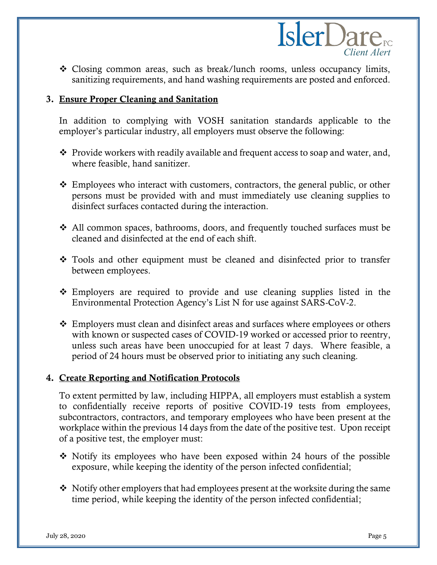

❖ Closing common areas, such as break/lunch rooms, unless occupancy limits, sanitizing requirements, and hand washing requirements are posted and enforced.

#### 3. Ensure Proper Cleaning and Sanitation

In addition to complying with VOSH sanitation standards applicable to the employer's particular industry, all employers must observe the following:

- ❖ Provide workers with readily available and frequent access to soap and water, and, where feasible, hand sanitizer.
- ❖ Employees who interact with customers, contractors, the general public, or other persons must be provided with and must immediately use cleaning supplies to disinfect surfaces contacted during the interaction.
- ❖ All common spaces, bathrooms, doors, and frequently touched surfaces must be cleaned and disinfected at the end of each shift.
- ❖ Tools and other equipment must be cleaned and disinfected prior to transfer between employees.
- ❖ Employers are required to provide and use cleaning supplies listed in the Environmental Protection Agency's List N for use against SARS-CoV-2.
- $\div$  Employers must clean and disinfect areas and surfaces where employees or others with known or suspected cases of COVID-19 worked or accessed prior to reentry, unless such areas have been unoccupied for at least 7 days. Where feasible, a period of 24 hours must be observed prior to initiating any such cleaning.

#### 4. Create Reporting and Notification Protocols

To extent permitted by law, including HIPPA, all employers must establish a system to confidentially receive reports of positive COVID-19 tests from employees, subcontractors, contractors, and temporary employees who have been present at the workplace within the previous 14 days from the date of the positive test. Upon receipt of a positive test, the employer must:

- ❖ Notify its employees who have been exposed within 24 hours of the possible exposure, while keeping the identity of the person infected confidential;
- ❖ Notify other employers that had employees present at the worksite during the same time period, while keeping the identity of the person infected confidential;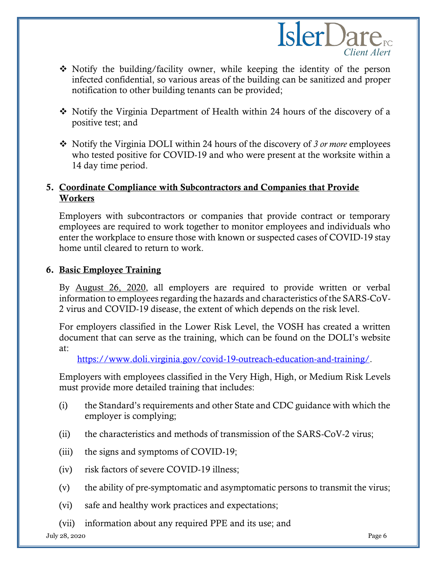

- ❖ Notify the building/facility owner, while keeping the identity of the person infected confidential, so various areas of the building can be sanitized and proper notification to other building tenants can be provided;
- ❖ Notify the Virginia Department of Health within 24 hours of the discovery of a positive test; and
- ❖ Notify the Virginia DOLI within 24 hours of the discovery of *3 or more* employees who tested positive for COVID-19 and who were present at the worksite within a 14 day time period.

#### 5. Coordinate Compliance with Subcontractors and Companies that Provide Workers

Employers with subcontractors or companies that provide contract or temporary employees are required to work together to monitor employees and individuals who enter the workplace to ensure those with known or suspected cases of COVID-19 stay home until cleared to return to work.

#### 6. Basic Employee Training

By August 26, 2020, all employers are required to provide written or verbal information to employees regarding the hazards and characteristics of the SARS-CoV-2 virus and COVID-19 disease, the extent of which depends on the risk level.

For employers classified in the Lower Risk Level, the VOSH has created a written document that can serve as the training, which can be found on the DOLI's website at:

[https://www.doli.virginia.gov/covid-19-outreach-education-and-training/.](https://www.doli.virginia.gov/covid-19-outreach-education-and-training/)

Employers with employees classified in the Very High, High, or Medium Risk Levels must provide more detailed training that includes:

- (i) the Standard's requirements and other State and CDC guidance with which the employer is complying;
- (ii) the characteristics and methods of transmission of the SARS-CoV-2 virus;
- (iii) the signs and symptoms of COVID-19;
- (iv) risk factors of severe COVID-19 illness;
- (v) the ability of pre-symptomatic and asymptomatic persons to transmit the virus;
- (vi) safe and healthy work practices and expectations;
- (vii) information about any required PPE and its use; and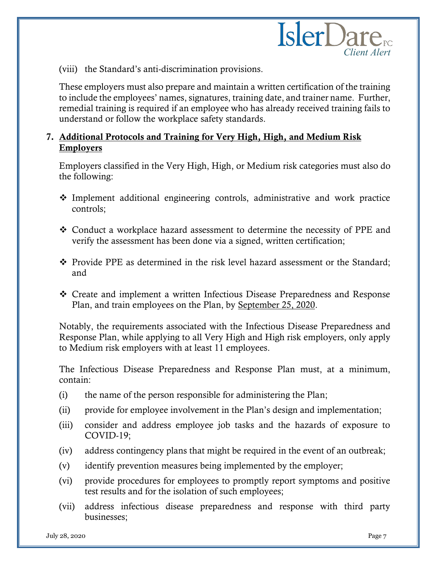(viii) the Standard's anti-discrimination provisions.

These employers must also prepare and maintain a written certification of the training to include the employees' names, signatures, training date, and trainer name. Further, remedial training is required if an employee who has already received training fails to understand or follow the workplace safety standards.

#### 7. Additional Protocols and Training for Very High, High, and Medium Risk Employers

Employers classified in the Very High, High, or Medium risk categories must also do the following:

- ❖ Implement additional engineering controls, administrative and work practice controls;
- ❖ Conduct a workplace hazard assessment to determine the necessity of PPE and verify the assessment has been done via a signed, written certification;
- ❖ Provide PPE as determined in the risk level hazard assessment or the Standard; and
- ❖ Create and implement a written Infectious Disease Preparedness and Response Plan, and train employees on the Plan, by September 25, 2020.

Notably, the requirements associated with the Infectious Disease Preparedness and Response Plan, while applying to all Very High and High risk employers, only apply to Medium risk employers with at least 11 employees.

The Infectious Disease Preparedness and Response Plan must, at a minimum, contain:

- (i) the name of the person responsible for administering the Plan;
- (ii) provide for employee involvement in the Plan's design and implementation;
- (iii) consider and address employee job tasks and the hazards of exposure to COVID-19;
- (iv) address contingency plans that might be required in the event of an outbreak;
- (v) identify prevention measures being implemented by the employer;
- (vi) provide procedures for employees to promptly report symptoms and positive test results and for the isolation of such employees;
- (vii) address infectious disease preparedness and response with third party businesses;

*Client Alert*

**IslerDare**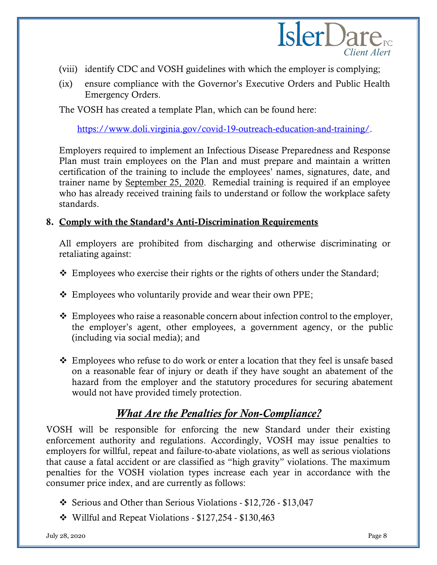

- (viii) identify CDC and VOSH guidelines with which the employer is complying;
- (ix) ensure compliance with the Governor's Executive Orders and Public Health Emergency Orders.

The VOSH has created a template Plan, which can be found here:

[https://www.doli.virginia.gov/covid-19-outreach-education-and-training/.](https://www.doli.virginia.gov/covid-19-outreach-education-and-training/)

Employers required to implement an Infectious Disease Preparedness and Response Plan must train employees on the Plan and must prepare and maintain a written certification of the training to include the employees' names, signatures, date, and trainer name by September 25, 2020. Remedial training is required if an employee who has already received training fails to understand or follow the workplace safety standards.

#### 8. Comply with the Standard's Anti-Discrimination Requirements

All employers are prohibited from discharging and otherwise discriminating or retaliating against:

- ❖ Employees who exercise their rights or the rights of others under the Standard;
- ❖ Employees who voluntarily provide and wear their own PPE;
- ❖ Employees who raise a reasonable concern about infection control to the employer, the employer's agent, other employees, a government agency, or the public (including via social media); and
- ❖ Employees who refuse to do work or enter a location that they feel is unsafe based on a reasonable fear of injury or death if they have sought an abatement of the hazard from the employer and the statutory procedures for securing abatement would not have provided timely protection.

## *What Are the Penalties for Non-Compliance?*

VOSH will be responsible for enforcing the new Standard under their existing enforcement authority and regulations. Accordingly, VOSH may issue penalties to employers for willful, repeat and failure-to-abate violations, as well as serious violations that cause a fatal accident or are classified as "high gravity" violations. The maximum penalties for the VOSH violation types increase each year in accordance with the consumer price index, and are currently as follows:

- ❖ Serious and Other than Serious Violations \$12,726 \$13,047
- ❖ Willful and Repeat Violations \$127,254 \$130,463